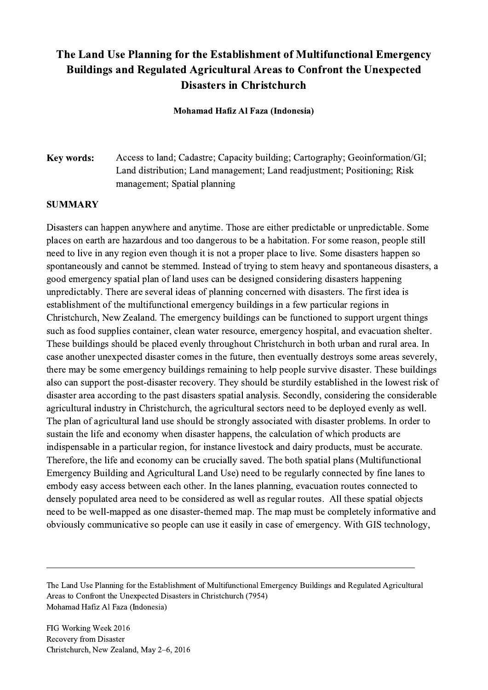## The Land Use Planning for the Establishment of Multifunctional Emergency Buildings and Regulated Agricultural Areas to Confront the Unexpected Disasters in Christchurch

Mohamad Hafiz Al Faza (Indonesia)

## Key words: Access to land; Cadastre; Capacity building; Cartography; Geoinformation/GI; Land distribution; Land management; Land readjustment; Positioning; Risk management; Spatial planning

## SUMMARY

Disasters can happen anywhere and anytime. Those are either predictable or unpredictable. Some places on earth are hazardous and too dangerous to be a habitation. For some reason, people still need to live in any region even though it is not a proper place to live. Some disasters happen so spontaneously and cannot be stemmed. Instead of trying to stem heavy and spontaneous disasters, a good emergency spatial plan of land uses can be designed considering disasters happening unpredictably. There are several ideas of planning concerned with disasters. The first idea is establishment of the multifunctional emergency buildings in a few particular regions in Christchurch, New Zealand. The emergency buildings can be functioned to support urgent things such as food supplies container, clean water resource, emergency hospital, and evacuation shelter. These buildings should be placed evenly throughout Christchurch in both urban and rural area. In case another unexpected disaster comes in the future, then eventually destroys some areas severely, there may be some emergency buildings remaining to help people survive disaster. These buildings also can support the post-disaster recovery. They should be sturdily established in the lowest risk of disaster area according to the past disasters spatial analysis. Secondly, considering the considerable agricultural industry in Christchurch, the agricultural sectors need to be deployed evenly as well. The plan of agricultural land use should be strongly associated with disaster problems. In order to sustain the life and economy when disaster happens, the calculation of which products are indispensable in a particular region, for instance livestock and dairy products, must be accurate. Therefore, the life and economy can be crucially saved. The both spatial plans (Multifunctional Emergency Building and Agricultural Land Use) need to be regularly connected by fine lanes to embody easy access between each other. In the lanes planning, evacuation routes connected to densely populated area need to be considered as well as regular routes. All these spatial objects need to be well-mapped as one disaster-themed map. The map must be completely informative and obviously communicative so people can use it easily in case of emergency. With GIS technology,

The Land Use Planning for the Establishment of Multifunctional Emergency Buildings and Regulated Agricultural Areas to Confront the Unexpected Disasters in Christchurch (7954) Mohamad Hafiz Al Faza (Indonesia)

 $\mathcal{L}_\mathcal{L} = \{ \mathcal{L}_\mathcal{L} = \{ \mathcal{L}_\mathcal{L} = \{ \mathcal{L}_\mathcal{L} = \{ \mathcal{L}_\mathcal{L} = \{ \mathcal{L}_\mathcal{L} = \{ \mathcal{L}_\mathcal{L} = \{ \mathcal{L}_\mathcal{L} = \{ \mathcal{L}_\mathcal{L} = \{ \mathcal{L}_\mathcal{L} = \{ \mathcal{L}_\mathcal{L} = \{ \mathcal{L}_\mathcal{L} = \{ \mathcal{L}_\mathcal{L} = \{ \mathcal{L}_\mathcal{L} = \{ \mathcal{L}_\mathcal{$ 

FIG Working Week 2016 Recovery from Disaster Christchurch, New Zealand, May 2–6, 2016